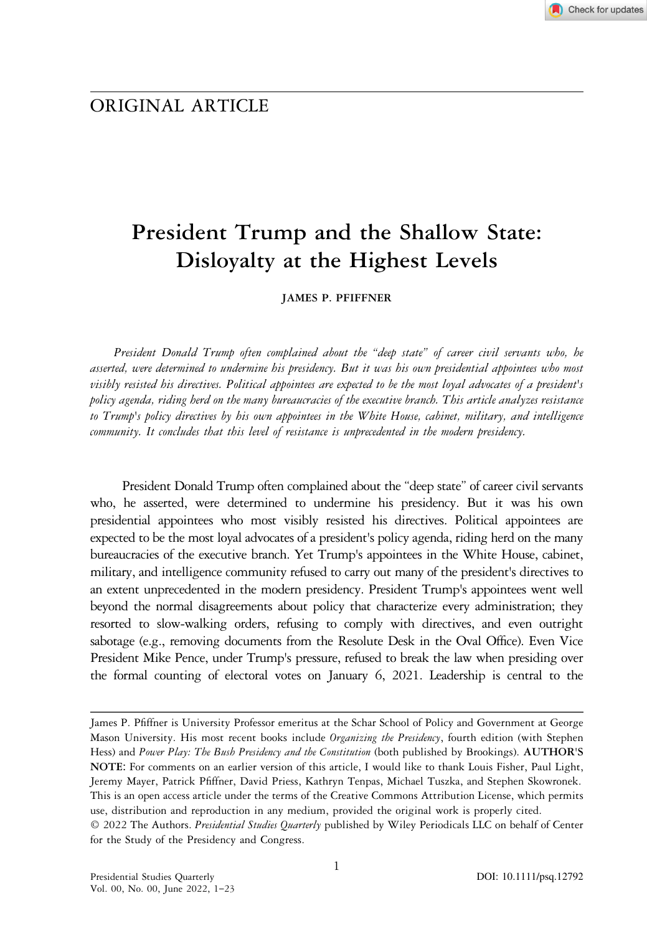## ORIGINAL ARTICLE

# President Trump and the Shallow State: Disloyalty at the Highest Levels

JAMES P. PFIFFNER

President Donald Trump often complained about the "deep state" of career civil servants who, he asserted, were determined to undermine his presidency. But it was his own presidential appointees who most visibly resisted his directives. Political appointees are expected to be the most loyal advocates of a president's policy agenda, riding herd on the many bureaucracies of the executive branch. This article analyzes resistance to Trump's policy directives by his own appointees in the White House, cabinet, military, and intelligence community. It concludes that this level of resistance is unprecedented in the modern presidency.

President Donald Trump often complained about the "deep state" of career civil servants who, he asserted, were determined to undermine his presidency. But it was his own presidential appointees who most visibly resisted his directives. Political appointees are expected to be the most loyal advocates of a president's policy agenda, riding herd on the many bureaucracies of the executive branch. Yet Trump's appointees in the White House, cabinet, military, and intelligence community refused to carry out many of the president's directives to an extent unprecedented in the modern presidency. President Trump's appointees went well beyond the normal disagreements about policy that characterize every administration; they resorted to slow-walking orders, refusing to comply with directives, and even outright sabotage (e.g., removing documents from the Resolute Desk in the Oval Office). Even Vice President Mike Pence, under Trump's pressure, refused to break the law when presiding over the formal counting of electoral votes on January 6, 2021. Leadership is central to the

James P. Pfiffner is University Professor emeritus at the Schar School of Policy and Government at George Mason University. His most recent books include Organizing the Presidency, fourth edition (with Stephen Hess) and Power Play: The Bush Presidency and the Constitution (both published by Brookings). AUTHOR'S NOTE: For comments on an earlier version of this article, I would like to thank Louis Fisher, Paul Light, Jeremy Mayer, Patrick Pfiffner, David Priess, Kathryn Tenpas, Michael Tuszka, and Stephen Skowronek. This is an open access article under the terms of the Creative Commons Attribution License, which permits use, distribution and reproduction in any medium, provided the original work is properly cited. © 2022 The Authors. Presidential Studies Quarterly published by Wiley Periodicals LLC on behalf of Center for the Study of the Presidency and Congress.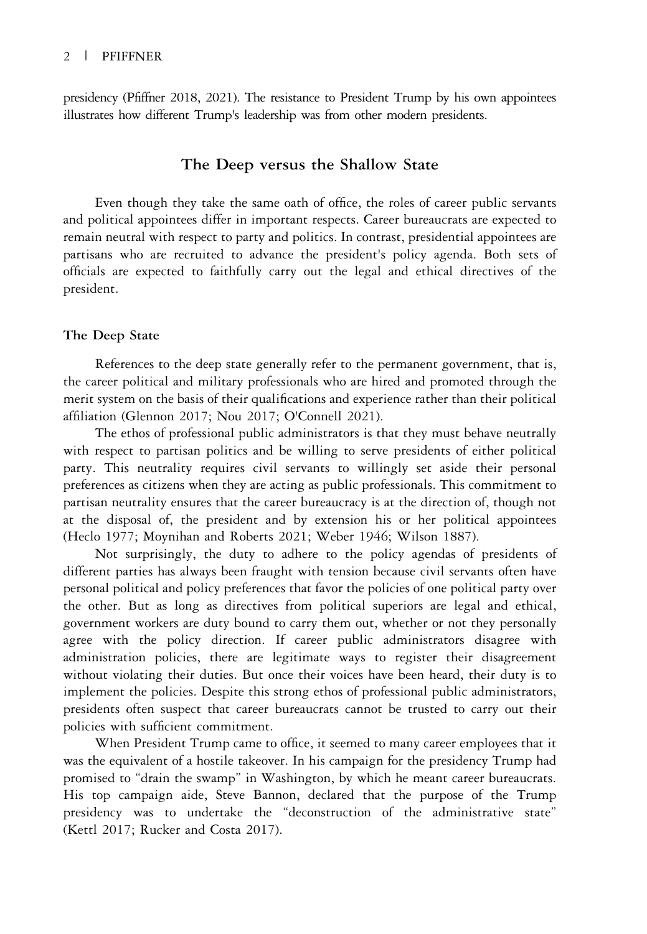presidency (Pfiffner 2018, 2021). The resistance to President Trump by his own appointees illustrates how different Trump's leadership was from other modern presidents.

## The Deep versus the Shallow State

Even though they take the same oath of office, the roles of career public servants and political appointees differ in important respects. Career bureaucrats are expected to remain neutral with respect to party and politics. In contrast, presidential appointees are partisans who are recruited to advance the president's policy agenda. Both sets of officials are expected to faithfully carry out the legal and ethical directives of the president.

## The Deep State

References to the deep state generally refer to the permanent government, that is, the career political and military professionals who are hired and promoted through the merit system on the basis of their qualifications and experience rather than their political affiliation (Glennon 2017; Nou 2017; O'Connell 2021).

The ethos of professional public administrators is that they must behave neutrally with respect to partisan politics and be willing to serve presidents of either political party. This neutrality requires civil servants to willingly set aside their personal preferences as citizens when they are acting as public professionals. This commitment to partisan neutrality ensures that the career bureaucracy is at the direction of, though not at the disposal of, the president and by extension his or her political appointees (Heclo 1977; Moynihan and Roberts 2021; Weber 1946; Wilson 1887).

Not surprisingly, the duty to adhere to the policy agendas of presidents of different parties has always been fraught with tension because civil servants often have personal political and policy preferences that favor the policies of one political party over the other. But as long as directives from political superiors are legal and ethical, government workers are duty bound to carry them out, whether or not they personally agree with the policy direction. If career public administrators disagree with administration policies, there are legitimate ways to register their disagreement without violating their duties. But once their voices have been heard, their duty is to implement the policies. Despite this strong ethos of professional public administrators, presidents often suspect that career bureaucrats cannot be trusted to carry out their policies with sufficient commitment.

When President Trump came to office, it seemed to many career employees that it was the equivalent of a hostile takeover. In his campaign for the presidency Trump had promised to "drain the swamp" in Washington, by which he meant career bureaucrats. His top campaign aide, Steve Bannon, declared that the purpose of the Trump presidency was to undertake the "deconstruction of the administrative state" (Kettl 2017; Rucker and Costa 2017).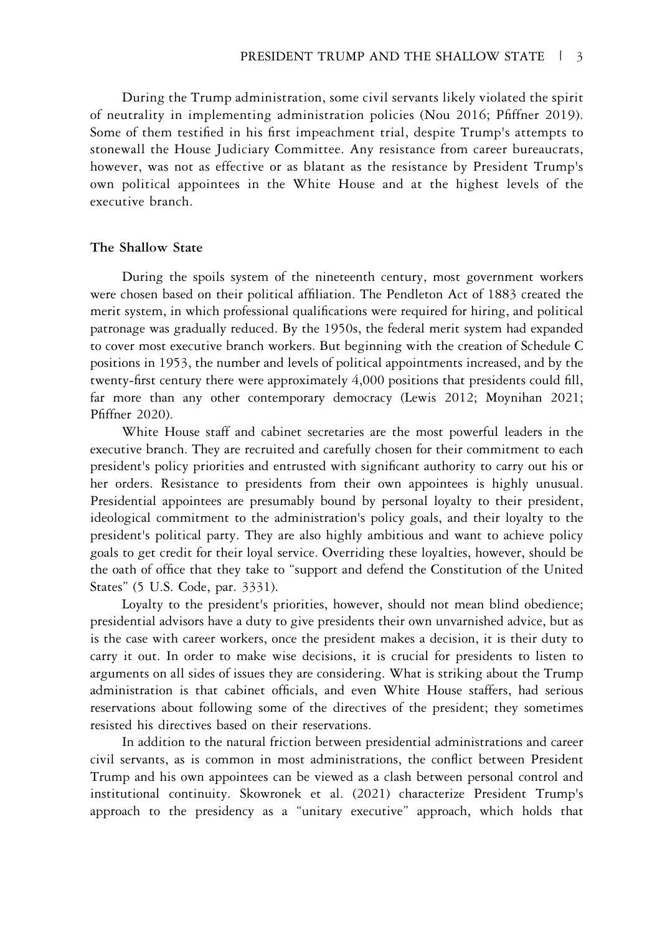During the Trump administration, some civil servants likely violated the spirit of neutrality in implementing administration policies (Nou 2016; Pfiffner 2019). Some of them testified in his first impeachment trial, despite Trump's attempts to stonewall the House Judiciary Committee. Any resistance from career bureaucrats, however, was not as effective or as blatant as the resistance by President Trump's own political appointees in the White House and at the highest levels of the executive branch.

#### The Shallow State

During the spoils system of the nineteenth century, most government workers were chosen based on their political affiliation. The Pendleton Act of 1883 created the merit system, in which professional qualifications were required for hiring, and political patronage was gradually reduced. By the 1950s, the federal merit system had expanded to cover most executive branch workers. But beginning with the creation of Schedule C positions in 1953, the number and levels of political appointments increased, and by the twenty-first century there were approximately 4,000 positions that presidents could fill, far more than any other contemporary democracy (Lewis 2012; Moynihan 2021; Pfiffner 2020).

White House staff and cabinet secretaries are the most powerful leaders in the executive branch. They are recruited and carefully chosen for their commitment to each president's policy priorities and entrusted with significant authority to carry out his or her orders. Resistance to presidents from their own appointees is highly unusual. Presidential appointees are presumably bound by personal loyalty to their president, ideological commitment to the administration's policy goals, and their loyalty to the president's political party. They are also highly ambitious and want to achieve policy goals to get credit for their loyal service. Overriding these loyalties, however, should be the oath of office that they take to "support and defend the Constitution of the United States" (5 U.S. Code, par. 3331).

Loyalty to the president's priorities, however, should not mean blind obedience; presidential advisors have a duty to give presidents their own unvarnished advice, but as is the case with career workers, once the president makes a decision, it is their duty to carry it out. In order to make wise decisions, it is crucial for presidents to listen to arguments on all sides of issues they are considering. What is striking about the Trump administration is that cabinet officials, and even White House staffers, had serious reservations about following some of the directives of the president; they sometimes resisted his directives based on their reservations.

In addition to the natural friction between presidential administrations and career civil servants, as is common in most administrations, the conflict between President Trump and his own appointees can be viewed as a clash between personal control and institutional continuity. Skowronek et al. (2021) characterize President Trump's approach to the presidency as a "unitary executive" approach, which holds that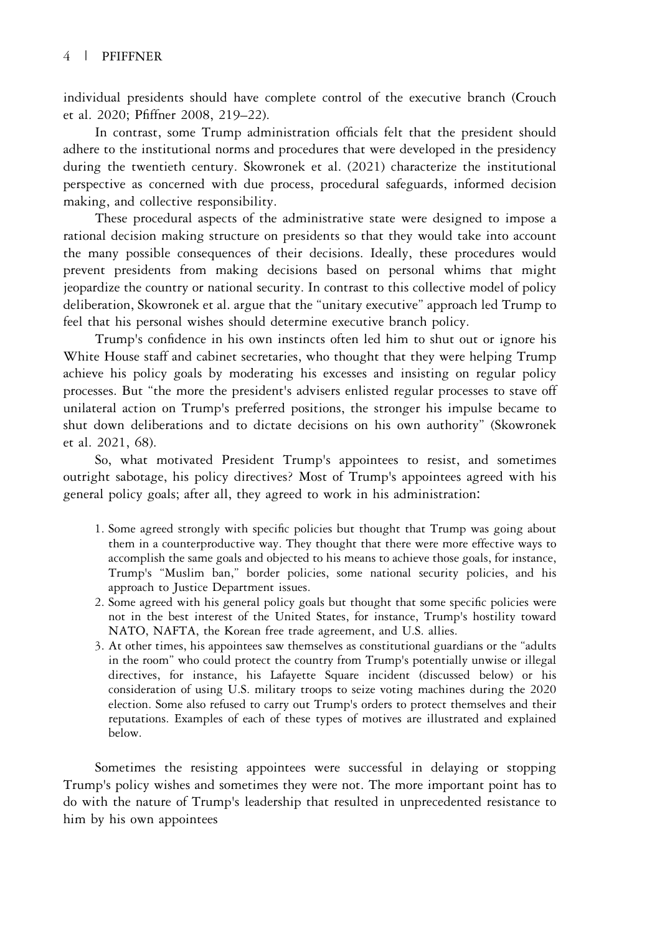## 4 | PFIFFNER

individual presidents should have complete control of the executive branch (Crouch et al. 2020; Pfiffner 2008, 219–22).

In contrast, some Trump administration officials felt that the president should adhere to the institutional norms and procedures that were developed in the presidency during the twentieth century. Skowronek et al. (2021) characterize the institutional perspective as concerned with due process, procedural safeguards, informed decision making, and collective responsibility.

These procedural aspects of the administrative state were designed to impose a rational decision making structure on presidents so that they would take into account the many possible consequences of their decisions. Ideally, these procedures would prevent presidents from making decisions based on personal whims that might jeopardize the country or national security. In contrast to this collective model of policy deliberation, Skowronek et al. argue that the "unitary executive" approach led Trump to feel that his personal wishes should determine executive branch policy.

Trump's confidence in his own instincts often led him to shut out or ignore his White House staff and cabinet secretaries, who thought that they were helping Trump achieve his policy goals by moderating his excesses and insisting on regular policy processes. But "the more the president's advisers enlisted regular processes to stave off unilateral action on Trump's preferred positions, the stronger his impulse became to shut down deliberations and to dictate decisions on his own authority" (Skowronek et al. 2021, 68).

So, what motivated President Trump's appointees to resist, and sometimes outright sabotage, his policy directives? Most of Trump's appointees agreed with his general policy goals; after all, they agreed to work in his administration:

- 1. Some agreed strongly with specific policies but thought that Trump was going about them in a counterproductive way. They thought that there were more effective ways to accomplish the same goals and objected to his means to achieve those goals, for instance, Trump's "Muslim ban," border policies, some national security policies, and his approach to Justice Department issues.
- 2. Some agreed with his general policy goals but thought that some specific policies were not in the best interest of the United States, for instance, Trump's hostility toward NATO, NAFTA, the Korean free trade agreement, and U.S. allies.
- 3. At other times, his appointees saw themselves as constitutional guardians or the "adults in the room" who could protect the country from Trump's potentially unwise or illegal directives, for instance, his Lafayette Square incident (discussed below) or his consideration of using U.S. military troops to seize voting machines during the 2020 election. Some also refused to carry out Trump's orders to protect themselves and their reputations. Examples of each of these types of motives are illustrated and explained below.

Sometimes the resisting appointees were successful in delaying or stopping Trump's policy wishes and sometimes they were not. The more important point has to do with the nature of Trump's leadership that resulted in unprecedented resistance to him by his own appointees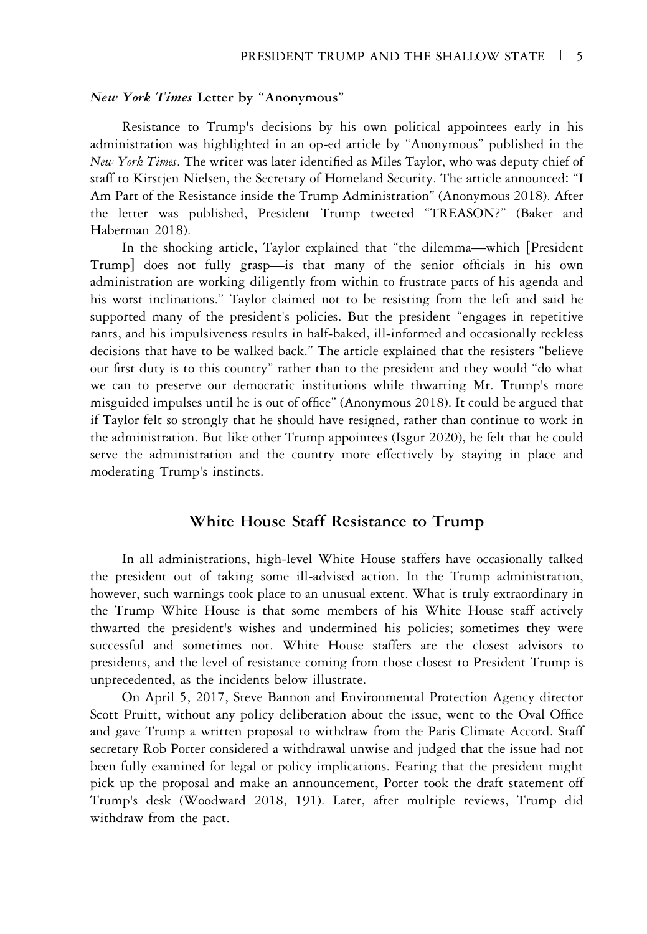#### New York Times Letter by "Anonymous"

Resistance to Trump's decisions by his own political appointees early in his administration was highlighted in an op-ed article by "Anonymous" published in the New York Times. The writer was later identified as Miles Taylor, who was deputy chief of staff to Kirstjen Nielsen, the Secretary of Homeland Security. The article announced: "I Am Part of the Resistance inside the Trump Administration" (Anonymous 2018). After the letter was published, President Trump tweeted "TREASON?" (Baker and Haberman 2018).

In the shocking article, Taylor explained that "the dilemma—which [President Trump] does not fully grasp—is that many of the senior officials in his own administration are working diligently from within to frustrate parts of his agenda and his worst inclinations." Taylor claimed not to be resisting from the left and said he supported many of the president's policies. But the president "engages in repetitive rants, and his impulsiveness results in half-baked, ill-informed and occasionally reckless decisions that have to be walked back." The article explained that the resisters "believe our first duty is to this country" rather than to the president and they would "do what we can to preserve our democratic institutions while thwarting Mr. Trump's more misguided impulses until he is out of office" (Anonymous 2018). It could be argued that if Taylor felt so strongly that he should have resigned, rather than continue to work in the administration. But like other Trump appointees (Isgur 2020), he felt that he could serve the administration and the country more effectively by staying in place and moderating Trump's instincts.

## White House Staff Resistance to Trump

In all administrations, high-level White House staffers have occasionally talked the president out of taking some ill-advised action. In the Trump administration, however, such warnings took place to an unusual extent. What is truly extraordinary in the Trump White House is that some members of his White House staff actively thwarted the president's wishes and undermined his policies; sometimes they were successful and sometimes not. White House staffers are the closest advisors to presidents, and the level of resistance coming from those closest to President Trump is unprecedented, as the incidents below illustrate.

On April 5, 2017, Steve Bannon and Environmental Protection Agency director Scott Pruitt, without any policy deliberation about the issue, went to the Oval Office and gave Trump a written proposal to withdraw from the Paris Climate Accord. Staff secretary Rob Porter considered a withdrawal unwise and judged that the issue had not been fully examined for legal or policy implications. Fearing that the president might pick up the proposal and make an announcement, Porter took the draft statement off Trump's desk (Woodward 2018, 191). Later, after multiple reviews, Trump did withdraw from the pact.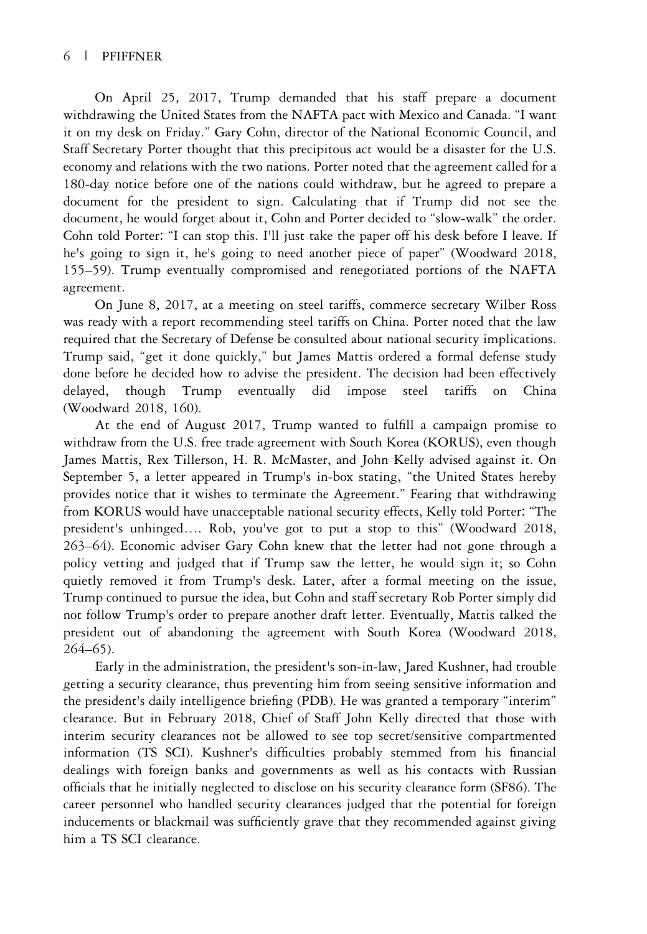## 6 | PFIFFNER

On April 25, 2017, Trump demanded that his staff prepare a document withdrawing the United States from the NAFTA pact with Mexico and Canada. "I want it on my desk on Friday." Gary Cohn, director of the National Economic Council, and Staff Secretary Porter thought that this precipitous act would be a disaster for the U.S. economy and relations with the two nations. Porter noted that the agreement called for a 180-day notice before one of the nations could withdraw, but he agreed to prepare a document for the president to sign. Calculating that if Trump did not see the document, he would forget about it, Cohn and Porter decided to "slow-walk" the order. Cohn told Porter: "I can stop this. I'll just take the paper off his desk before I leave. If he's going to sign it, he's going to need another piece of paper" (Woodward 2018, 155–59). Trump eventually compromised and renegotiated portions of the NAFTA agreement.

On June 8, 2017, at a meeting on steel tariffs, commerce secretary Wilber Ross was ready with a report recommending steel tariffs on China. Porter noted that the law required that the Secretary of Defense be consulted about national security implications. Trump said, "get it done quickly," but James Mattis ordered a formal defense study done before he decided how to advise the president. The decision had been effectively delayed, though Trump eventually did impose steel tariffs on China (Woodward 2018, 160).

At the end of August 2017, Trump wanted to fulfill a campaign promise to withdraw from the U.S. free trade agreement with South Korea (KORUS), even though James Mattis, Rex Tillerson, H. R. McMaster, and John Kelly advised against it. On September 5, a letter appeared in Trump's in-box stating, "the United States hereby provides notice that it wishes to terminate the Agreement." Fearing that withdrawing from KORUS would have unacceptable national security effects, Kelly told Porter: "The president's unhinged…. Rob, you've got to put a stop to this" (Woodward 2018, 263–64). Economic adviser Gary Cohn knew that the letter had not gone through a policy vetting and judged that if Trump saw the letter, he would sign it; so Cohn quietly removed it from Trump's desk. Later, after a formal meeting on the issue, Trump continued to pursue the idea, but Cohn and staff secretary Rob Porter simply did not follow Trump's order to prepare another draft letter. Eventually, Mattis talked the president out of abandoning the agreement with South Korea (Woodward 2018, 264–65).

Early in the administration, the president's son-in-law, Jared Kushner, had trouble getting a security clearance, thus preventing him from seeing sensitive information and the president's daily intelligence briefing (PDB). He was granted a temporary "interim" clearance. But in February 2018, Chief of Staff John Kelly directed that those with interim security clearances not be allowed to see top secret/sensitive compartmented information (TS SCI). Kushner's difficulties probably stemmed from his financial dealings with foreign banks and governments as well as his contacts with Russian officials that he initially neglected to disclose on his security clearance form (SF86). The career personnel who handled security clearances judged that the potential for foreign inducements or blackmail was sufficiently grave that they recommended against giving him a TS SCI clearance.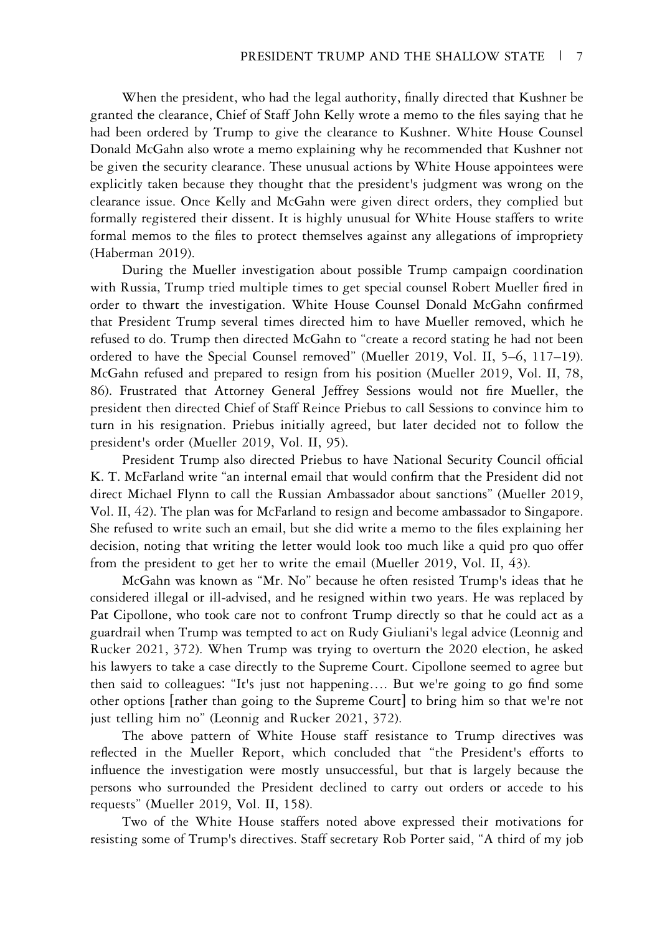When the president, who had the legal authority, finally directed that Kushner be granted the clearance, Chief of Staff John Kelly wrote a memo to the files saying that he had been ordered by Trump to give the clearance to Kushner. White House Counsel Donald McGahn also wrote a memo explaining why he recommended that Kushner not be given the security clearance. These unusual actions by White House appointees were explicitly taken because they thought that the president's judgment was wrong on the clearance issue. Once Kelly and McGahn were given direct orders, they complied but formally registered their dissent. It is highly unusual for White House staffers to write formal memos to the files to protect themselves against any allegations of impropriety (Haberman 2019).

During the Mueller investigation about possible Trump campaign coordination with Russia, Trump tried multiple times to get special counsel Robert Mueller fired in order to thwart the investigation. White House Counsel Donald McGahn confirmed that President Trump several times directed him to have Mueller removed, which he refused to do. Trump then directed McGahn to "create a record stating he had not been ordered to have the Special Counsel removed" (Mueller 2019, Vol. II, 5–6, 117–19). McGahn refused and prepared to resign from his position (Mueller 2019, Vol. II, 78, 86). Frustrated that Attorney General Jeffrey Sessions would not fire Mueller, the president then directed Chief of Staff Reince Priebus to call Sessions to convince him to turn in his resignation. Priebus initially agreed, but later decided not to follow the president's order (Mueller 2019, Vol. II, 95).

President Trump also directed Priebus to have National Security Council official K. T. McFarland write "an internal email that would confirm that the President did not direct Michael Flynn to call the Russian Ambassador about sanctions" (Mueller 2019, Vol. II, 42). The plan was for McFarland to resign and become ambassador to Singapore. She refused to write such an email, but she did write a memo to the files explaining her decision, noting that writing the letter would look too much like a quid pro quo offer from the president to get her to write the email (Mueller 2019, Vol. II, 43).

McGahn was known as "Mr. No" because he often resisted Trump's ideas that he considered illegal or ill-advised, and he resigned within two years. He was replaced by Pat Cipollone, who took care not to confront Trump directly so that he could act as a guardrail when Trump was tempted to act on Rudy Giuliani's legal advice (Leonnig and Rucker 2021, 372). When Trump was trying to overturn the 2020 election, he asked his lawyers to take a case directly to the Supreme Court. Cipollone seemed to agree but then said to colleagues: "It's just not happening…. But we're going to go find some other options [rather than going to the Supreme Court] to bring him so that we're not just telling him no" (Leonnig and Rucker 2021, 372).

The above pattern of White House staff resistance to Trump directives was reflected in the Mueller Report, which concluded that "the President's efforts to influence the investigation were mostly unsuccessful, but that is largely because the persons who surrounded the President declined to carry out orders or accede to his requests" (Mueller 2019, Vol. II, 158).

Two of the White House staffers noted above expressed their motivations for resisting some of Trump's directives. Staff secretary Rob Porter said, "A third of my job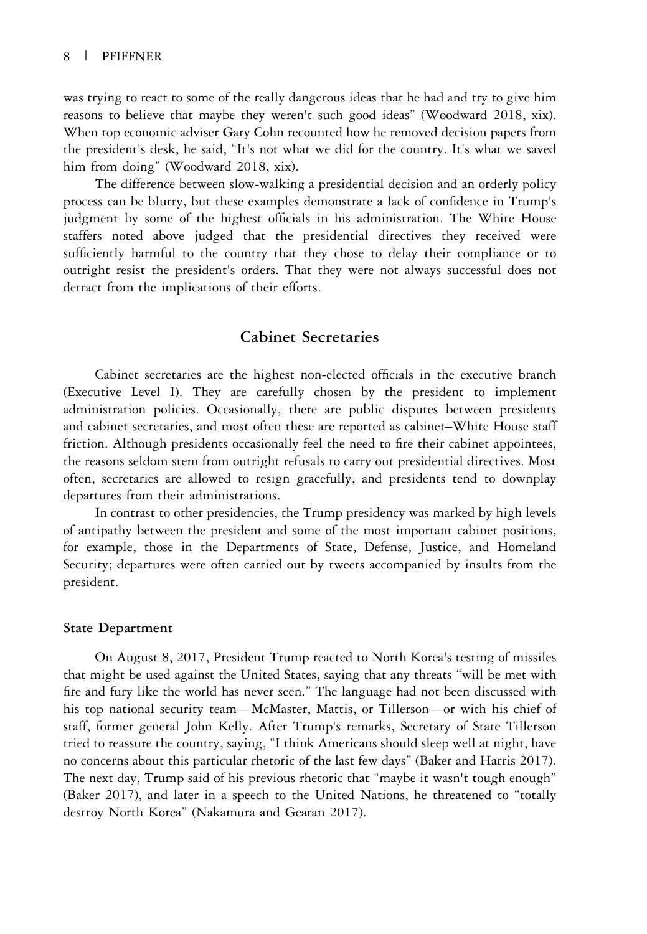was trying to react to some of the really dangerous ideas that he had and try to give him reasons to believe that maybe they weren't such good ideas" (Woodward 2018, xix). When top economic adviser Gary Cohn recounted how he removed decision papers from the president's desk, he said, "It's not what we did for the country. It's what we saved him from doing" (Woodward 2018, xix).

The difference between slow-walking a presidential decision and an orderly policy process can be blurry, but these examples demonstrate a lack of confidence in Trump's judgment by some of the highest officials in his administration. The White House staffers noted above judged that the presidential directives they received were sufficiently harmful to the country that they chose to delay their compliance or to outright resist the president's orders. That they were not always successful does not detract from the implications of their efforts.

## Cabinet Secretaries

Cabinet secretaries are the highest non-elected officials in the executive branch (Executive Level I). They are carefully chosen by the president to implement administration policies. Occasionally, there are public disputes between presidents and cabinet secretaries, and most often these are reported as cabinet–White House staff friction. Although presidents occasionally feel the need to fire their cabinet appointees, the reasons seldom stem from outright refusals to carry out presidential directives. Most often, secretaries are allowed to resign gracefully, and presidents tend to downplay departures from their administrations.

In contrast to other presidencies, the Trump presidency was marked by high levels of antipathy between the president and some of the most important cabinet positions, for example, those in the Departments of State, Defense, Justice, and Homeland Security; departures were often carried out by tweets accompanied by insults from the president.

#### State Department

On August 8, 2017, President Trump reacted to North Korea's testing of missiles that might be used against the United States, saying that any threats "will be met with fire and fury like the world has never seen." The language had not been discussed with his top national security team—McMaster, Mattis, or Tillerson—or with his chief of staff, former general John Kelly. After Trump's remarks, Secretary of State Tillerson tried to reassure the country, saying, "I think Americans should sleep well at night, have no concerns about this particular rhetoric of the last few days" (Baker and Harris 2017). The next day, Trump said of his previous rhetoric that "maybe it wasn't tough enough" (Baker 2017), and later in a speech to the United Nations, he threatened to "totally destroy North Korea" (Nakamura and Gearan 2017).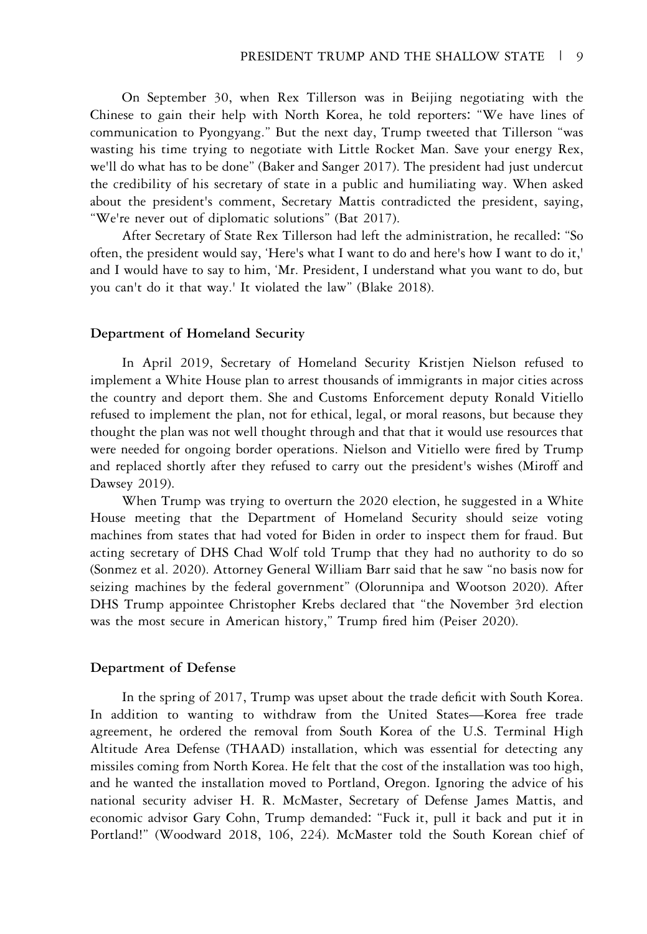On September 30, when Rex Tillerson was in Beijing negotiating with the Chinese to gain their help with North Korea, he told reporters: "We have lines of communication to Pyongyang." But the next day, Trump tweeted that Tillerson "was wasting his time trying to negotiate with Little Rocket Man. Save your energy Rex, we'll do what has to be done" (Baker and Sanger 2017). The president had just undercut the credibility of his secretary of state in a public and humiliating way. When asked about the president's comment, Secretary Mattis contradicted the president, saying, "We're never out of diplomatic solutions" (Bat 2017).

After Secretary of State Rex Tillerson had left the administration, he recalled: "So often, the president would say, 'Here's what I want to do and here's how I want to do it,' and I would have to say to him, 'Mr. President, I understand what you want to do, but you can't do it that way.' It violated the law" (Blake 2018).

#### Department of Homeland Security

In April 2019, Secretary of Homeland Security Kristjen Nielson refused to implement a White House plan to arrest thousands of immigrants in major cities across the country and deport them. She and Customs Enforcement deputy Ronald Vitiello refused to implement the plan, not for ethical, legal, or moral reasons, but because they thought the plan was not well thought through and that that it would use resources that were needed for ongoing border operations. Nielson and Vitiello were fired by Trump and replaced shortly after they refused to carry out the president's wishes (Miroff and Dawsey 2019).

When Trump was trying to overturn the 2020 election, he suggested in a White House meeting that the Department of Homeland Security should seize voting machines from states that had voted for Biden in order to inspect them for fraud. But acting secretary of DHS Chad Wolf told Trump that they had no authority to do so (Sonmez et al. 2020). Attorney General William Barr said that he saw "no basis now for seizing machines by the federal government" (Olorunnipa and Wootson 2020). After DHS Trump appointee Christopher Krebs declared that "the November 3rd election was the most secure in American history," Trump fired him (Peiser 2020).

#### Department of Defense

In the spring of 2017, Trump was upset about the trade deficit with South Korea. In addition to wanting to withdraw from the United States—Korea free trade agreement, he ordered the removal from South Korea of the U.S. Terminal High Altitude Area Defense (THAAD) installation, which was essential for detecting any missiles coming from North Korea. He felt that the cost of the installation was too high, and he wanted the installation moved to Portland, Oregon. Ignoring the advice of his national security adviser H. R. McMaster, Secretary of Defense James Mattis, and economic advisor Gary Cohn, Trump demanded: "Fuck it, pull it back and put it in Portland!" (Woodward 2018, 106, 224). McMaster told the South Korean chief of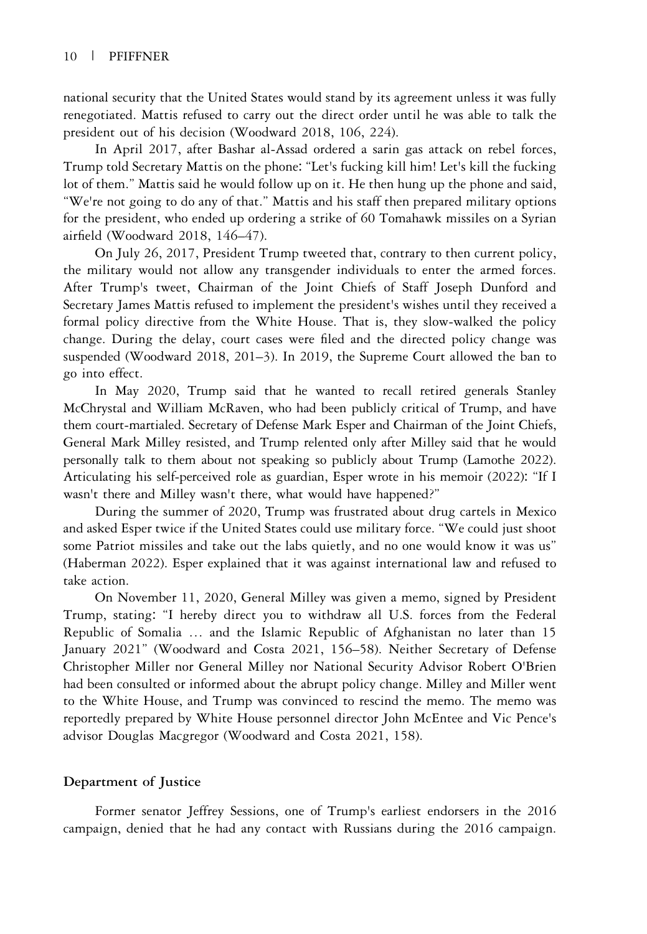national security that the United States would stand by its agreement unless it was fully renegotiated. Mattis refused to carry out the direct order until he was able to talk the president out of his decision (Woodward 2018, 106, 224).

In April 2017, after Bashar al-Assad ordered a sarin gas attack on rebel forces, Trump told Secretary Mattis on the phone: "Let's fucking kill him! Let's kill the fucking lot of them." Mattis said he would follow up on it. He then hung up the phone and said, "We're not going to do any of that." Mattis and his staff then prepared military options for the president, who ended up ordering a strike of 60 Tomahawk missiles on a Syrian airfield (Woodward 2018, 146–47).

On July 26, 2017, President Trump tweeted that, contrary to then current policy, the military would not allow any transgender individuals to enter the armed forces. After Trump's tweet, Chairman of the Joint Chiefs of Staff Joseph Dunford and Secretary James Mattis refused to implement the president's wishes until they received a formal policy directive from the White House. That is, they slow-walked the policy change. During the delay, court cases were filed and the directed policy change was suspended (Woodward 2018, 201–3). In 2019, the Supreme Court allowed the ban to go into effect.

In May 2020, Trump said that he wanted to recall retired generals Stanley McChrystal and William McRaven, who had been publicly critical of Trump, and have them court-martialed. Secretary of Defense Mark Esper and Chairman of the Joint Chiefs, General Mark Milley resisted, and Trump relented only after Milley said that he would personally talk to them about not speaking so publicly about Trump (Lamothe 2022). Articulating his self-perceived role as guardian, Esper wrote in his memoir (2022): "If I wasn't there and Milley wasn't there, what would have happened?"

During the summer of 2020, Trump was frustrated about drug cartels in Mexico and asked Esper twice if the United States could use military force. "We could just shoot some Patriot missiles and take out the labs quietly, and no one would know it was us" (Haberman 2022). Esper explained that it was against international law and refused to take action.

On November 11, 2020, General Milley was given a memo, signed by President Trump, stating: "I hereby direct you to withdraw all U.S. forces from the Federal Republic of Somalia … and the Islamic Republic of Afghanistan no later than 15 January 2021" (Woodward and Costa 2021, 156–58). Neither Secretary of Defense Christopher Miller nor General Milley nor National Security Advisor Robert O'Brien had been consulted or informed about the abrupt policy change. Milley and Miller went to the White House, and Trump was convinced to rescind the memo. The memo was reportedly prepared by White House personnel director John McEntee and Vic Pence's advisor Douglas Macgregor (Woodward and Costa 2021, 158).

#### Department of Justice

Former senator Jeffrey Sessions, one of Trump's earliest endorsers in the 2016 campaign, denied that he had any contact with Russians during the 2016 campaign.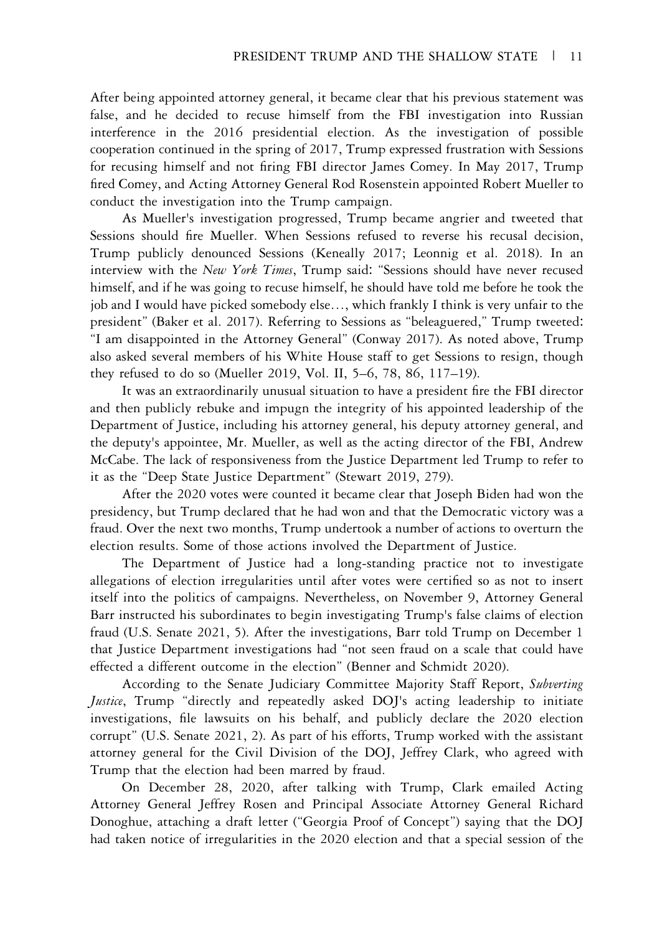After being appointed attorney general, it became clear that his previous statement was false, and he decided to recuse himself from the FBI investigation into Russian interference in the 2016 presidential election. As the investigation of possible cooperation continued in the spring of 2017, Trump expressed frustration with Sessions for recusing himself and not firing FBI director James Comey. In May 2017, Trump fired Comey, and Acting Attorney General Rod Rosenstein appointed Robert Mueller to conduct the investigation into the Trump campaign.

As Mueller's investigation progressed, Trump became angrier and tweeted that Sessions should fire Mueller. When Sessions refused to reverse his recusal decision, Trump publicly denounced Sessions (Keneally 2017; Leonnig et al. 2018). In an interview with the New York Times, Trump said: "Sessions should have never recused himself, and if he was going to recuse himself, he should have told me before he took the job and I would have picked somebody else…, which frankly I think is very unfair to the president" (Baker et al. 2017). Referring to Sessions as "beleaguered," Trump tweeted: "I am disappointed in the Attorney General" (Conway 2017). As noted above, Trump also asked several members of his White House staff to get Sessions to resign, though they refused to do so (Mueller 2019, Vol. II, 5–6, 78, 86, 117–19).

It was an extraordinarily unusual situation to have a president fire the FBI director and then publicly rebuke and impugn the integrity of his appointed leadership of the Department of Justice, including his attorney general, his deputy attorney general, and the deputy's appointee, Mr. Mueller, as well as the acting director of the FBI, Andrew McCabe. The lack of responsiveness from the Justice Department led Trump to refer to it as the "Deep State Justice Department" (Stewart 2019, 279).

After the 2020 votes were counted it became clear that Joseph Biden had won the presidency, but Trump declared that he had won and that the Democratic victory was a fraud. Over the next two months, Trump undertook a number of actions to overturn the election results. Some of those actions involved the Department of Justice.

The Department of Justice had a long-standing practice not to investigate allegations of election irregularities until after votes were certified so as not to insert itself into the politics of campaigns. Nevertheless, on November 9, Attorney General Barr instructed his subordinates to begin investigating Trump's false claims of election fraud (U.S. Senate 2021, 5). After the investigations, Barr told Trump on December 1 that Justice Department investigations had "not seen fraud on a scale that could have effected a different outcome in the election" (Benner and Schmidt 2020).

According to the Senate Judiciary Committee Majority Staff Report, Subverting Justice, Trump "directly and repeatedly asked DOJ's acting leadership to initiate investigations, file lawsuits on his behalf, and publicly declare the 2020 election corrupt" (U.S. Senate 2021, 2). As part of his efforts, Trump worked with the assistant attorney general for the Civil Division of the DOJ, Jeffrey Clark, who agreed with Trump that the election had been marred by fraud.

On December 28, 2020, after talking with Trump, Clark emailed Acting Attorney General Jeffrey Rosen and Principal Associate Attorney General Richard Donoghue, attaching a draft letter ("Georgia Proof of Concept") saying that the DOJ had taken notice of irregularities in the 2020 election and that a special session of the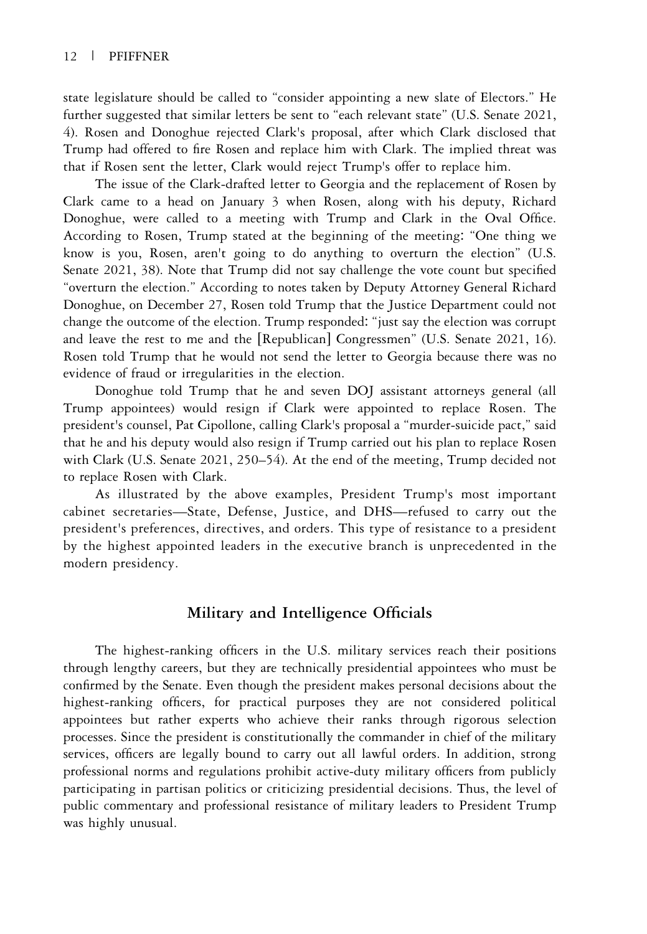state legislature should be called to "consider appointing a new slate of Electors." He further suggested that similar letters be sent to "each relevant state" (U.S. Senate 2021, 4). Rosen and Donoghue rejected Clark's proposal, after which Clark disclosed that Trump had offered to fire Rosen and replace him with Clark. The implied threat was that if Rosen sent the letter, Clark would reject Trump's offer to replace him.

The issue of the Clark-drafted letter to Georgia and the replacement of Rosen by Clark came to a head on January 3 when Rosen, along with his deputy, Richard Donoghue, were called to a meeting with Trump and Clark in the Oval Office. According to Rosen, Trump stated at the beginning of the meeting: "One thing we know is you, Rosen, aren't going to do anything to overturn the election" (U.S. Senate 2021, 38). Note that Trump did not say challenge the vote count but specified "overturn the election." According to notes taken by Deputy Attorney General Richard Donoghue, on December 27, Rosen told Trump that the Justice Department could not change the outcome of the election. Trump responded: "just say the election was corrupt and leave the rest to me and the [Republican] Congressmen" (U.S. Senate 2021, 16). Rosen told Trump that he would not send the letter to Georgia because there was no evidence of fraud or irregularities in the election.

Donoghue told Trump that he and seven DOJ assistant attorneys general (all Trump appointees) would resign if Clark were appointed to replace Rosen. The president's counsel, Pat Cipollone, calling Clark's proposal a "murder-suicide pact," said that he and his deputy would also resign if Trump carried out his plan to replace Rosen with Clark (U.S. Senate 2021, 250–54). At the end of the meeting, Trump decided not to replace Rosen with Clark.

As illustrated by the above examples, President Trump's most important cabinet secretaries—State, Defense, Justice, and DHS—refused to carry out the president's preferences, directives, and orders. This type of resistance to a president by the highest appointed leaders in the executive branch is unprecedented in the modern presidency.

## Military and Intelligence Officials

The highest-ranking officers in the U.S. military services reach their positions through lengthy careers, but they are technically presidential appointees who must be confirmed by the Senate. Even though the president makes personal decisions about the highest-ranking officers, for practical purposes they are not considered political appointees but rather experts who achieve their ranks through rigorous selection processes. Since the president is constitutionally the commander in chief of the military services, officers are legally bound to carry out all lawful orders. In addition, strong professional norms and regulations prohibit active-duty military officers from publicly participating in partisan politics or criticizing presidential decisions. Thus, the level of public commentary and professional resistance of military leaders to President Trump was highly unusual.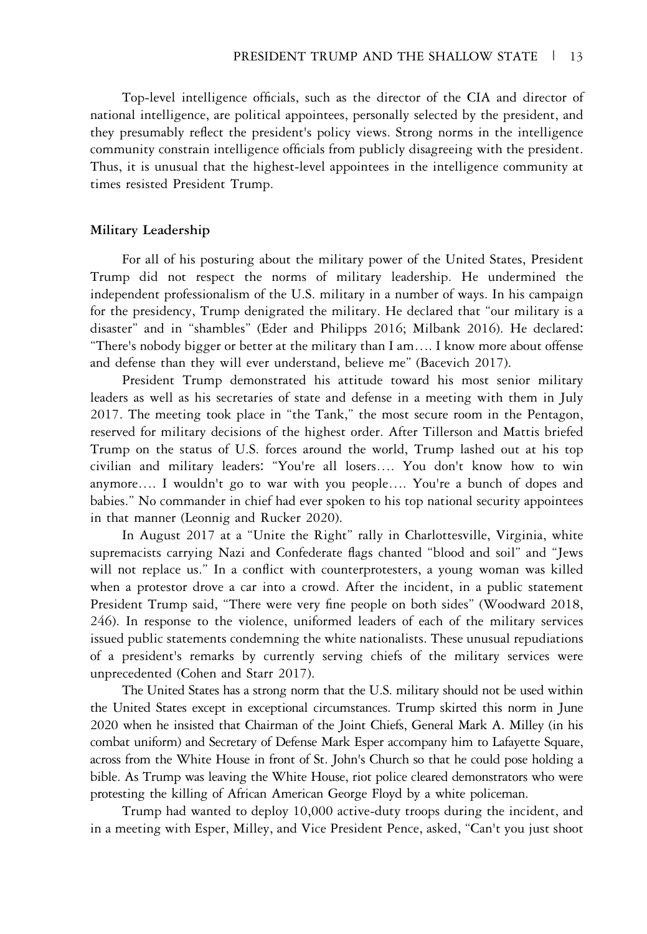Top-level intelligence officials, such as the director of the CIA and director of national intelligence, are political appointees, personally selected by the president, and they presumably reflect the president's policy views. Strong norms in the intelligence community constrain intelligence officials from publicly disagreeing with the president. Thus, it is unusual that the highest-level appointees in the intelligence community at times resisted President Trump.

#### Military Leadership

For all of his posturing about the military power of the United States, President Trump did not respect the norms of military leadership. He undermined the independent professionalism of the U.S. military in a number of ways. In his campaign for the presidency, Trump denigrated the military. He declared that "our military is a disaster" and in "shambles" (Eder and Philipps 2016; Milbank 2016). He declared: "There's nobody bigger or better at the military than I am…. I know more about offense and defense than they will ever understand, believe me" (Bacevich 2017).

President Trump demonstrated his attitude toward his most senior military leaders as well as his secretaries of state and defense in a meeting with them in July 2017. The meeting took place in "the Tank," the most secure room in the Pentagon, reserved for military decisions of the highest order. After Tillerson and Mattis briefed Trump on the status of U.S. forces around the world, Trump lashed out at his top civilian and military leaders: "You're all losers…. You don't know how to win anymore…. I wouldn't go to war with you people…. You're a bunch of dopes and babies." No commander in chief had ever spoken to his top national security appointees in that manner (Leonnig and Rucker 2020).

In August 2017 at a "Unite the Right" rally in Charlottesville, Virginia, white supremacists carrying Nazi and Confederate flags chanted "blood and soil" and "Jews will not replace us." In a conflict with counterprotesters, a young woman was killed when a protestor drove a car into a crowd. After the incident, in a public statement President Trump said, "There were very fine people on both sides" (Woodward 2018, 246). In response to the violence, uniformed leaders of each of the military services issued public statements condemning the white nationalists. These unusual repudiations of a president's remarks by currently serving chiefs of the military services were unprecedented (Cohen and Starr 2017).

The United States has a strong norm that the U.S. military should not be used within the United States except in exceptional circumstances. Trump skirted this norm in June 2020 when he insisted that Chairman of the Joint Chiefs, General Mark A. Milley (in his combat uniform) and Secretary of Defense Mark Esper accompany him to Lafayette Square, across from the White House in front of St. John's Church so that he could pose holding a bible. As Trump was leaving the White House, riot police cleared demonstrators who were protesting the killing of African American George Floyd by a white policeman.

Trump had wanted to deploy 10,000 active-duty troops during the incident, and in a meeting with Esper, Milley, and Vice President Pence, asked, "Can't you just shoot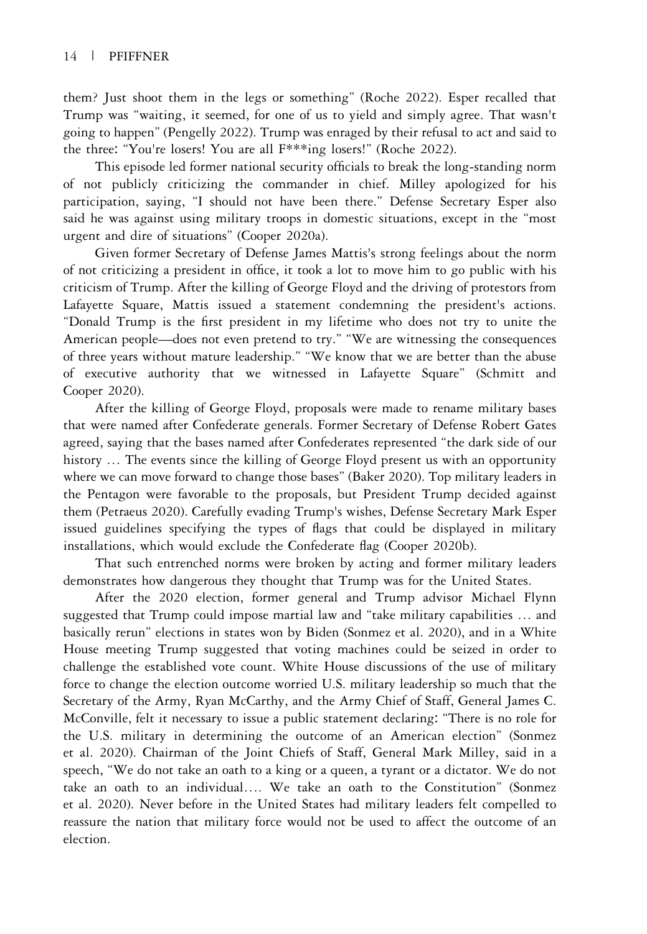them? Just shoot them in the legs or something" (Roche 2022). Esper recalled that Trump was "waiting, it seemed, for one of us to yield and simply agree. That wasn't going to happen" (Pengelly 2022). Trump was enraged by their refusal to act and said to the three: "You're losers! You are all F\*\*\*ing losers!" (Roche 2022).

This episode led former national security officials to break the long-standing norm of not publicly criticizing the commander in chief. Milley apologized for his participation, saying, "I should not have been there." Defense Secretary Esper also said he was against using military troops in domestic situations, except in the "most urgent and dire of situations" (Cooper 2020a).

Given former Secretary of Defense James Mattis's strong feelings about the norm of not criticizing a president in office, it took a lot to move him to go public with his criticism of Trump. After the killing of George Floyd and the driving of protestors from Lafayette Square, Mattis issued a statement condemning the president's actions. "Donald Trump is the first president in my lifetime who does not try to unite the American people—does not even pretend to try." "We are witnessing the consequences of three years without mature leadership." "We know that we are better than the abuse of executive authority that we witnessed in Lafayette Square" (Schmitt and Cooper 2020).

After the killing of George Floyd, proposals were made to rename military bases that were named after Confederate generals. Former Secretary of Defense Robert Gates agreed, saying that the bases named after Confederates represented "the dark side of our history ... The events since the killing of George Floyd present us with an opportunity where we can move forward to change those bases" (Baker 2020). Top military leaders in the Pentagon were favorable to the proposals, but President Trump decided against them (Petraeus 2020). Carefully evading Trump's wishes, Defense Secretary Mark Esper issued guidelines specifying the types of flags that could be displayed in military installations, which would exclude the Confederate flag (Cooper 2020b).

That such entrenched norms were broken by acting and former military leaders demonstrates how dangerous they thought that Trump was for the United States.

After the 2020 election, former general and Trump advisor Michael Flynn suggested that Trump could impose martial law and "take military capabilities … and basically rerun" elections in states won by Biden (Sonmez et al. 2020), and in a White House meeting Trump suggested that voting machines could be seized in order to challenge the established vote count. White House discussions of the use of military force to change the election outcome worried U.S. military leadership so much that the Secretary of the Army, Ryan McCarthy, and the Army Chief of Staff, General James C. McConville, felt it necessary to issue a public statement declaring: "There is no role for the U.S. military in determining the outcome of an American election" (Sonmez et al. 2020). Chairman of the Joint Chiefs of Staff, General Mark Milley, said in a speech, "We do not take an oath to a king or a queen, a tyrant or a dictator. We do not take an oath to an individual…. We take an oath to the Constitution" (Sonmez et al. 2020). Never before in the United States had military leaders felt compelled to reassure the nation that military force would not be used to affect the outcome of an election.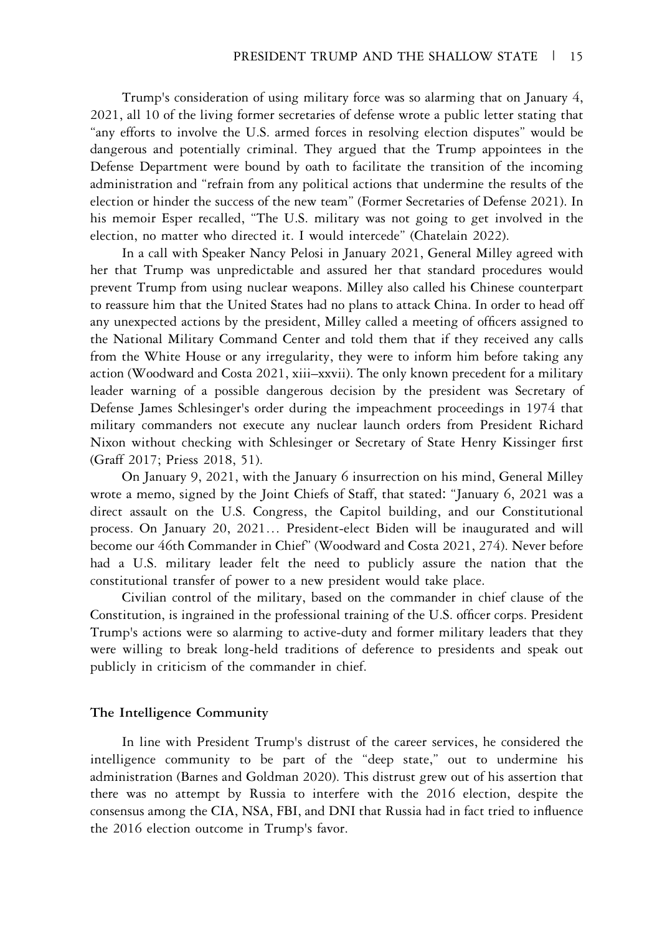Trump's consideration of using military force was so alarming that on January 4, 2021, all 10 of the living former secretaries of defense wrote a public letter stating that "any efforts to involve the U.S. armed forces in resolving election disputes" would be dangerous and potentially criminal. They argued that the Trump appointees in the Defense Department were bound by oath to facilitate the transition of the incoming administration and "refrain from any political actions that undermine the results of the election or hinder the success of the new team" (Former Secretaries of Defense 2021). In his memoir Esper recalled, "The U.S. military was not going to get involved in the election, no matter who directed it. I would intercede" (Chatelain 2022).

In a call with Speaker Nancy Pelosi in January 2021, General Milley agreed with her that Trump was unpredictable and assured her that standard procedures would prevent Trump from using nuclear weapons. Milley also called his Chinese counterpart to reassure him that the United States had no plans to attack China. In order to head off any unexpected actions by the president, Milley called a meeting of officers assigned to the National Military Command Center and told them that if they received any calls from the White House or any irregularity, they were to inform him before taking any action (Woodward and Costa 2021, xiii–xxvii). The only known precedent for a military leader warning of a possible dangerous decision by the president was Secretary of Defense James Schlesinger's order during the impeachment proceedings in 1974 that military commanders not execute any nuclear launch orders from President Richard Nixon without checking with Schlesinger or Secretary of State Henry Kissinger first (Graff 2017; Priess 2018, 51).

On January 9, 2021, with the January 6 insurrection on his mind, General Milley wrote a memo, signed by the Joint Chiefs of Staff, that stated: "January 6, 2021 was a direct assault on the U.S. Congress, the Capitol building, and our Constitutional process. On January 20, 2021… President-elect Biden will be inaugurated and will become our 46th Commander in Chief" (Woodward and Costa 2021, 274). Never before had a U.S. military leader felt the need to publicly assure the nation that the constitutional transfer of power to a new president would take place.

Civilian control of the military, based on the commander in chief clause of the Constitution, is ingrained in the professional training of the U.S. officer corps. President Trump's actions were so alarming to active-duty and former military leaders that they were willing to break long-held traditions of deference to presidents and speak out publicly in criticism of the commander in chief.

#### The Intelligence Community

In line with President Trump's distrust of the career services, he considered the intelligence community to be part of the "deep state," out to undermine his administration (Barnes and Goldman 2020). This distrust grew out of his assertion that there was no attempt by Russia to interfere with the 2016 election, despite the consensus among the CIA, NSA, FBI, and DNI that Russia had in fact tried to influence the 2016 election outcome in Trump's favor.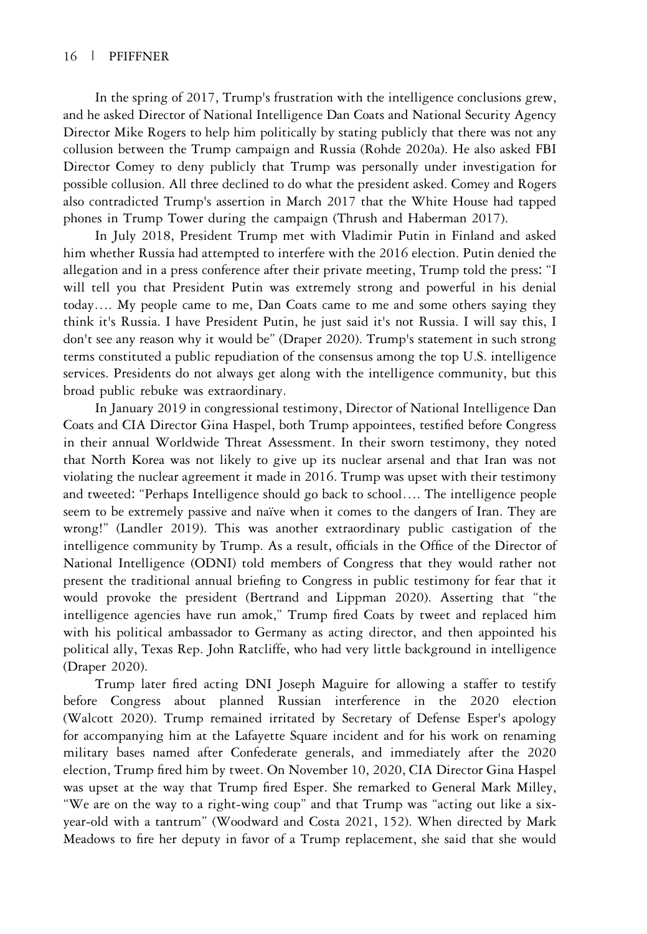In the spring of 2017, Trump's frustration with the intelligence conclusions grew, and he asked Director of National Intelligence Dan Coats and National Security Agency Director Mike Rogers to help him politically by stating publicly that there was not any collusion between the Trump campaign and Russia (Rohde 2020a). He also asked FBI Director Comey to deny publicly that Trump was personally under investigation for possible collusion. All three declined to do what the president asked. Comey and Rogers also contradicted Trump's assertion in March 2017 that the White House had tapped phones in Trump Tower during the campaign (Thrush and Haberman 2017).

In July 2018, President Trump met with Vladimir Putin in Finland and asked him whether Russia had attempted to interfere with the 2016 election. Putin denied the allegation and in a press conference after their private meeting, Trump told the press: "I will tell you that President Putin was extremely strong and powerful in his denial today…. My people came to me, Dan Coats came to me and some others saying they think it's Russia. I have President Putin, he just said it's not Russia. I will say this, I don't see any reason why it would be" (Draper 2020). Trump's statement in such strong terms constituted a public repudiation of the consensus among the top U.S. intelligence services. Presidents do not always get along with the intelligence community, but this broad public rebuke was extraordinary.

In January 2019 in congressional testimony, Director of National Intelligence Dan Coats and CIA Director Gina Haspel, both Trump appointees, testified before Congress in their annual Worldwide Threat Assessment. In their sworn testimony, they noted that North Korea was not likely to give up its nuclear arsenal and that Iran was not violating the nuclear agreement it made in 2016. Trump was upset with their testimony and tweeted: "Perhaps Intelligence should go back to school…. The intelligence people seem to be extremely passive and naïve when it comes to the dangers of Iran. They are wrong!" (Landler 2019). This was another extraordinary public castigation of the intelligence community by Trump. As a result, officials in the Office of the Director of National Intelligence (ODNI) told members of Congress that they would rather not present the traditional annual briefing to Congress in public testimony for fear that it would provoke the president (Bertrand and Lippman 2020). Asserting that "the intelligence agencies have run amok," Trump fired Coats by tweet and replaced him with his political ambassador to Germany as acting director, and then appointed his political ally, Texas Rep. John Ratcliffe, who had very little background in intelligence (Draper 2020).

Trump later fired acting DNI Joseph Maguire for allowing a staffer to testify before Congress about planned Russian interference in the 2020 election (Walcott 2020). Trump remained irritated by Secretary of Defense Esper's apology for accompanying him at the Lafayette Square incident and for his work on renaming military bases named after Confederate generals, and immediately after the 2020 election, Trump fired him by tweet. On November 10, 2020, CIA Director Gina Haspel was upset at the way that Trump fired Esper. She remarked to General Mark Milley, "We are on the way to a right-wing coup" and that Trump was "acting out like a sixyear-old with a tantrum" (Woodward and Costa 2021, 152). When directed by Mark Meadows to fire her deputy in favor of a Trump replacement, she said that she would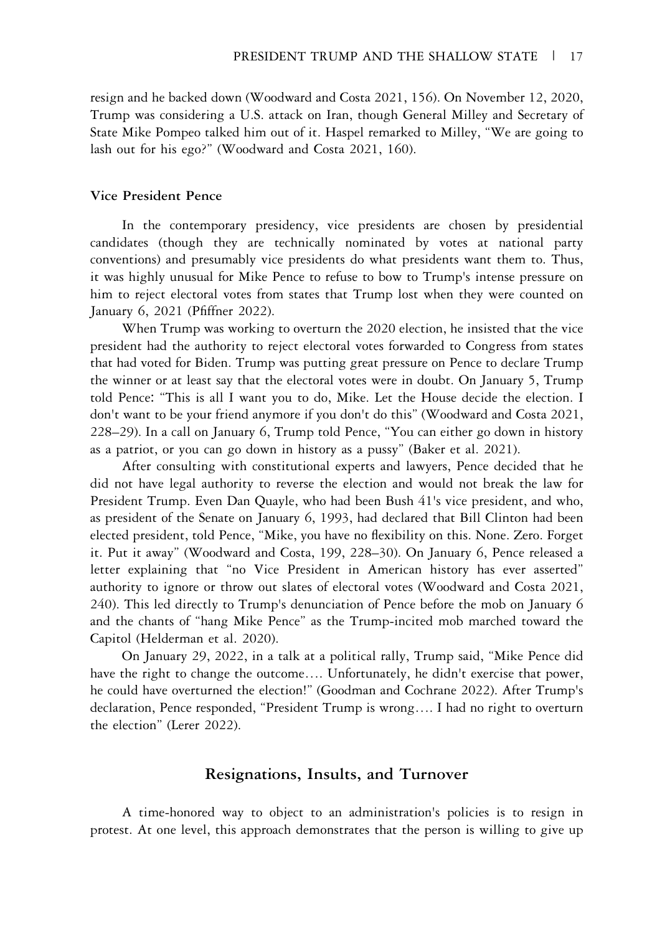resign and he backed down (Woodward and Costa 2021, 156). On November 12, 2020, Trump was considering a U.S. attack on Iran, though General Milley and Secretary of State Mike Pompeo talked him out of it. Haspel remarked to Milley, "We are going to lash out for his ego?" (Woodward and Costa 2021, 160).

#### Vice President Pence

In the contemporary presidency, vice presidents are chosen by presidential candidates (though they are technically nominated by votes at national party conventions) and presumably vice presidents do what presidents want them to. Thus, it was highly unusual for Mike Pence to refuse to bow to Trump's intense pressure on him to reject electoral votes from states that Trump lost when they were counted on January 6, 2021 (Pfiffner 2022).

When Trump was working to overturn the 2020 election, he insisted that the vice president had the authority to reject electoral votes forwarded to Congress from states that had voted for Biden. Trump was putting great pressure on Pence to declare Trump the winner or at least say that the electoral votes were in doubt. On January 5, Trump told Pence: "This is all I want you to do, Mike. Let the House decide the election. I don't want to be your friend anymore if you don't do this" (Woodward and Costa 2021, 228–29). In a call on January 6, Trump told Pence, "You can either go down in history as a patriot, or you can go down in history as a pussy" (Baker et al. 2021).

After consulting with constitutional experts and lawyers, Pence decided that he did not have legal authority to reverse the election and would not break the law for President Trump. Even Dan Quayle, who had been Bush 41's vice president, and who, as president of the Senate on January 6, 1993, had declared that Bill Clinton had been elected president, told Pence, "Mike, you have no flexibility on this. None. Zero. Forget it. Put it away" (Woodward and Costa, 199, 228–30). On January 6, Pence released a letter explaining that "no Vice President in American history has ever asserted" authority to ignore or throw out slates of electoral votes (Woodward and Costa 2021, 240). This led directly to Trump's denunciation of Pence before the mob on January 6 and the chants of "hang Mike Pence" as the Trump-incited mob marched toward the Capitol (Helderman et al. 2020).

On January 29, 2022, in a talk at a political rally, Trump said, "Mike Pence did have the right to change the outcome…. Unfortunately, he didn't exercise that power, he could have overturned the election!" (Goodman and Cochrane 2022). After Trump's declaration, Pence responded, "President Trump is wrong…. I had no right to overturn the election" (Lerer 2022).

## Resignations, Insults, and Turnover

A time-honored way to object to an administration's policies is to resign in protest. At one level, this approach demonstrates that the person is willing to give up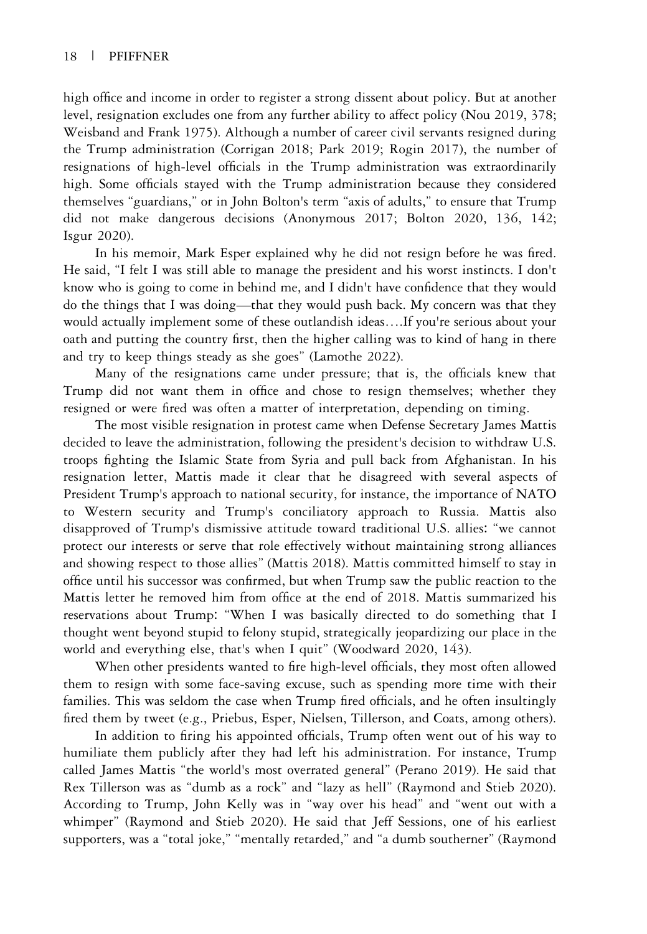high office and income in order to register a strong dissent about policy. But at another level, resignation excludes one from any further ability to affect policy (Nou 2019, 378; Weisband and Frank 1975). Although a number of career civil servants resigned during the Trump administration (Corrigan 2018; Park 2019; Rogin 2017), the number of resignations of high-level officials in the Trump administration was extraordinarily high. Some officials stayed with the Trump administration because they considered themselves "guardians," or in John Bolton's term "axis of adults," to ensure that Trump did not make dangerous decisions (Anonymous 2017; Bolton 2020, 136, 142; Isgur 2020).

In his memoir, Mark Esper explained why he did not resign before he was fired. He said, "I felt I was still able to manage the president and his worst instincts. I don't know who is going to come in behind me, and I didn't have confidence that they would do the things that I was doing—that they would push back. My concern was that they would actually implement some of these outlandish ideas….If you're serious about your oath and putting the country first, then the higher calling was to kind of hang in there and try to keep things steady as she goes" (Lamothe 2022).

Many of the resignations came under pressure; that is, the officials knew that Trump did not want them in office and chose to resign themselves; whether they resigned or were fired was often a matter of interpretation, depending on timing.

The most visible resignation in protest came when Defense Secretary James Mattis decided to leave the administration, following the president's decision to withdraw U.S. troops fighting the Islamic State from Syria and pull back from Afghanistan. In his resignation letter, Mattis made it clear that he disagreed with several aspects of President Trump's approach to national security, for instance, the importance of NATO to Western security and Trump's conciliatory approach to Russia. Mattis also disapproved of Trump's dismissive attitude toward traditional U.S. allies: "we cannot protect our interests or serve that role effectively without maintaining strong alliances and showing respect to those allies" (Mattis 2018). Mattis committed himself to stay in office until his successor was confirmed, but when Trump saw the public reaction to the Mattis letter he removed him from office at the end of 2018. Mattis summarized his reservations about Trump: "When I was basically directed to do something that I thought went beyond stupid to felony stupid, strategically jeopardizing our place in the world and everything else, that's when I quit" (Woodward 2020, 143).

When other presidents wanted to fire high-level officials, they most often allowed them to resign with some face-saving excuse, such as spending more time with their families. This was seldom the case when Trump fired officials, and he often insultingly fired them by tweet (e.g., Priebus, Esper, Nielsen, Tillerson, and Coats, among others).

In addition to firing his appointed officials, Trump often went out of his way to humiliate them publicly after they had left his administration. For instance, Trump called James Mattis "the world's most overrated general" (Perano 2019). He said that Rex Tillerson was as "dumb as a rock" and "lazy as hell" (Raymond and Stieb 2020). According to Trump, John Kelly was in "way over his head" and "went out with a whimper" (Raymond and Stieb 2020). He said that Jeff Sessions, one of his earliest supporters, was a "total joke," "mentally retarded," and "a dumb southerner" (Raymond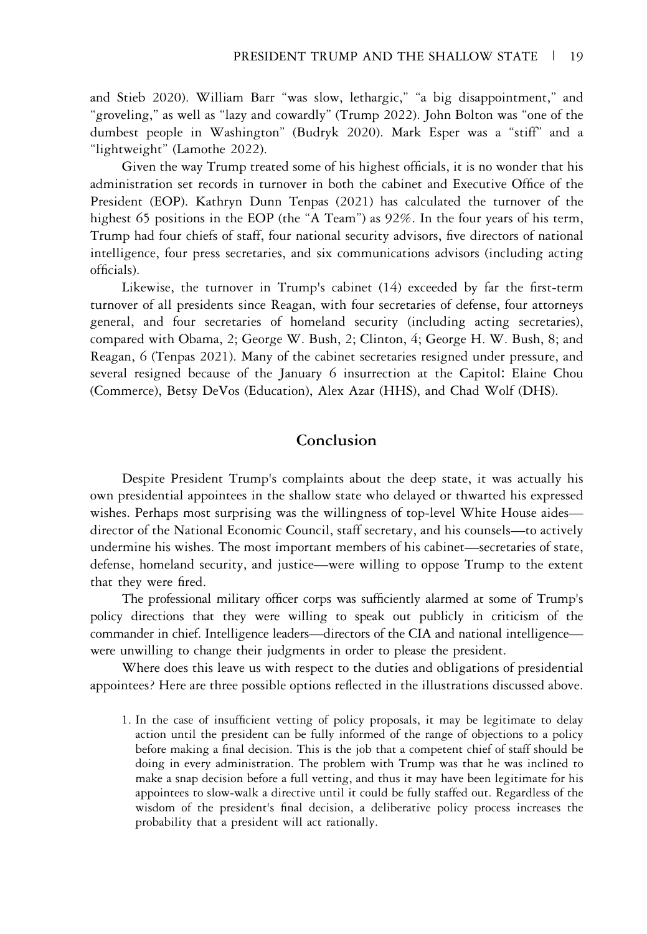and Stieb 2020). William Barr "was slow, lethargic," "a big disappointment," and "groveling," as well as "lazy and cowardly" (Trump 2022). John Bolton was "one of the dumbest people in Washington" (Budryk 2020). Mark Esper was a "stiff" and a "lightweight" (Lamothe 2022).

Given the way Trump treated some of his highest officials, it is no wonder that his administration set records in turnover in both the cabinet and Executive Office of the President (EOP). Kathryn Dunn Tenpas (2021) has calculated the turnover of the highest 65 positions in the EOP (the "A Team") as 92%. In the four years of his term, Trump had four chiefs of staff, four national security advisors, five directors of national intelligence, four press secretaries, and six communications advisors (including acting officials).

Likewise, the turnover in Trump's cabinet (14) exceeded by far the first-term turnover of all presidents since Reagan, with four secretaries of defense, four attorneys general, and four secretaries of homeland security (including acting secretaries), compared with Obama, 2; George W. Bush, 2; Clinton, 4; George H. W. Bush, 8; and Reagan, 6 (Tenpas 2021). Many of the cabinet secretaries resigned under pressure, and several resigned because of the January 6 insurrection at the Capitol: Elaine Chou (Commerce), Betsy DeVos (Education), Alex Azar (HHS), and Chad Wolf (DHS).

## Conclusion

Despite President Trump's complaints about the deep state, it was actually his own presidential appointees in the shallow state who delayed or thwarted his expressed wishes. Perhaps most surprising was the willingness of top-level White House aides director of the National Economic Council, staff secretary, and his counsels—to actively undermine his wishes. The most important members of his cabinet—secretaries of state, defense, homeland security, and justice—were willing to oppose Trump to the extent that they were fired.

The professional military officer corps was sufficiently alarmed at some of Trump's policy directions that they were willing to speak out publicly in criticism of the commander in chief. Intelligence leaders—directors of the CIA and national intelligence were unwilling to change their judgments in order to please the president.

Where does this leave us with respect to the duties and obligations of presidential appointees? Here are three possible options reflected in the illustrations discussed above.

1. In the case of insufficient vetting of policy proposals, it may be legitimate to delay action until the president can be fully informed of the range of objections to a policy before making a final decision. This is the job that a competent chief of staff should be doing in every administration. The problem with Trump was that he was inclined to make a snap decision before a full vetting, and thus it may have been legitimate for his appointees to slow-walk a directive until it could be fully staffed out. Regardless of the wisdom of the president's final decision, a deliberative policy process increases the probability that a president will act rationally.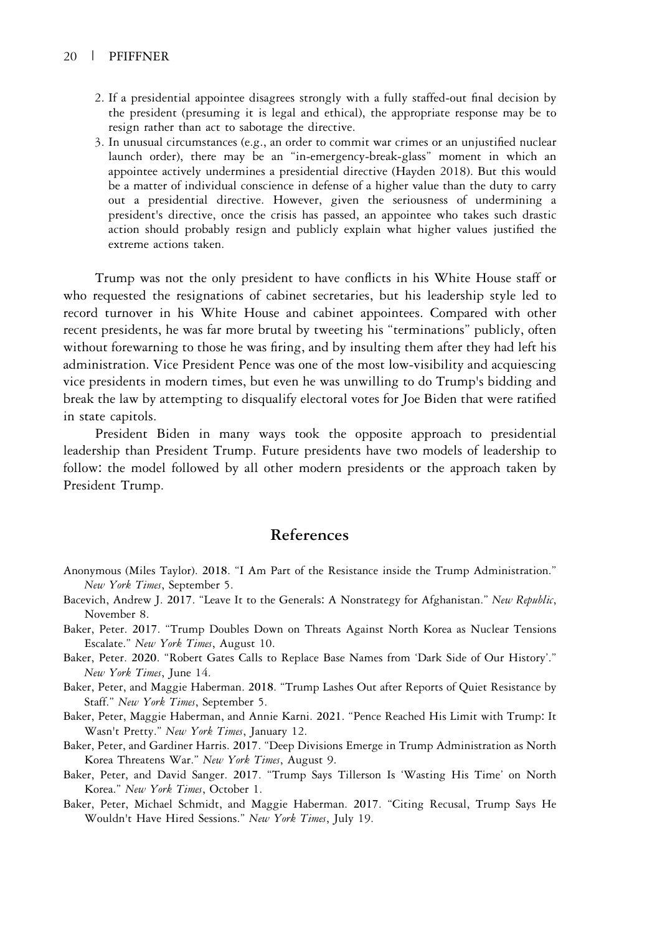- 2. If a presidential appointee disagrees strongly with a fully staffed-out final decision by the president (presuming it is legal and ethical), the appropriate response may be to resign rather than act to sabotage the directive.
- 3. In unusual circumstances (e.g., an order to commit war crimes or an unjustified nuclear launch order), there may be an "in-emergency-break-glass" moment in which an appointee actively undermines a presidential directive (Hayden 2018). But this would be a matter of individual conscience in defense of a higher value than the duty to carry out a presidential directive. However, given the seriousness of undermining a president's directive, once the crisis has passed, an appointee who takes such drastic action should probably resign and publicly explain what higher values justified the extreme actions taken.

Trump was not the only president to have conflicts in his White House staff or who requested the resignations of cabinet secretaries, but his leadership style led to record turnover in his White House and cabinet appointees. Compared with other recent presidents, he was far more brutal by tweeting his "terminations" publicly, often without forewarning to those he was firing, and by insulting them after they had left his administration. Vice President Pence was one of the most low-visibility and acquiescing vice presidents in modern times, but even he was unwilling to do Trump's bidding and break the law by attempting to disqualify electoral votes for Joe Biden that were ratified in state capitols.

President Biden in many ways took the opposite approach to presidential leadership than President Trump. Future presidents have two models of leadership to follow: the model followed by all other modern presidents or the approach taken by President Trump.

## References

- Anonymous (Miles Taylor). 2018. "I Am Part of the Resistance inside the Trump Administration." New York Times, September 5.
- Bacevich, Andrew J. 2017. "Leave It to the Generals: A Nonstrategy for Afghanistan." New Republic, November 8.
- Baker, Peter. 2017. "Trump Doubles Down on Threats Against North Korea as Nuclear Tensions Escalate." New York Times, August 10.
- Baker, Peter. 2020. "Robert Gates Calls to Replace Base Names from 'Dark Side of Our History'." New York Times, June 14.
- Baker, Peter, and Maggie Haberman. 2018. "Trump Lashes Out after Reports of Quiet Resistance by Staff." New York Times, September 5.
- Baker, Peter, Maggie Haberman, and Annie Karni. 2021. "Pence Reached His Limit with Trump: It Wasn't Pretty." New York Times, January 12.
- Baker, Peter, and Gardiner Harris. 2017. "Deep Divisions Emerge in Trump Administration as North Korea Threatens War." New York Times, August 9.
- Baker, Peter, and David Sanger. 2017. "Trump Says Tillerson Is 'Wasting His Time' on North Korea." New York Times, October 1.
- Baker, Peter, Michael Schmidt, and Maggie Haberman. 2017. "Citing Recusal, Trump Says He Wouldn't Have Hired Sessions." New York Times, July 19.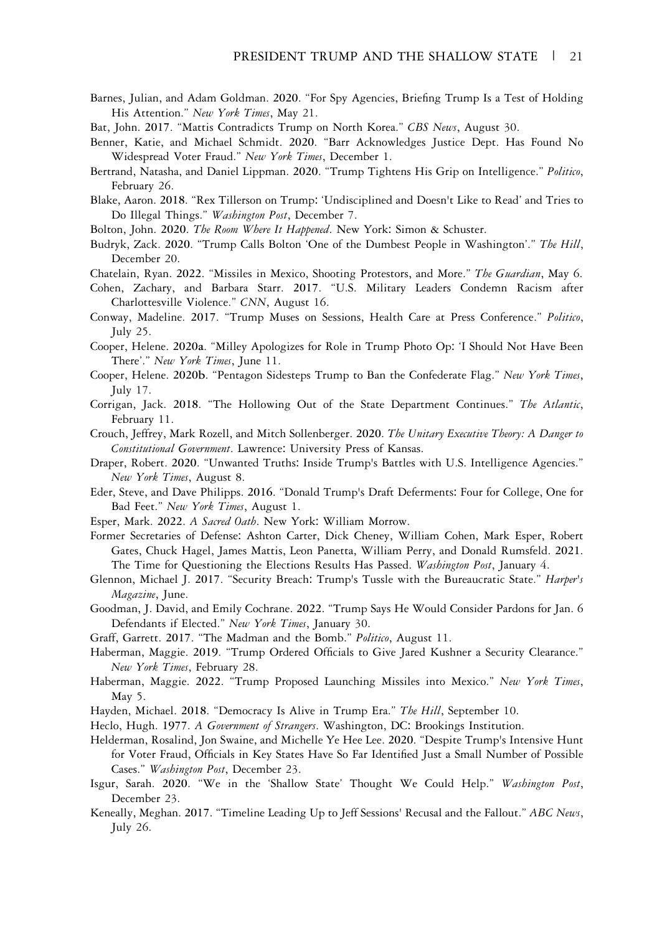Barnes, Julian, and Adam Goldman. 2020. "For Spy Agencies, Briefing Trump Is a Test of Holding His Attention." New York Times, May 21.

Bat, John. 2017. "Mattis Contradicts Trump on North Korea." CBS News, August 30.

- Benner, Katie, and Michael Schmidt. 2020. "Barr Acknowledges Justice Dept. Has Found No Widespread Voter Fraud." New York Times, December 1.
- Bertrand, Natasha, and Daniel Lippman. 2020. "Trump Tightens His Grip on Intelligence." Politico, February 26.
- Blake, Aaron. 2018. "Rex Tillerson on Trump: 'Undisciplined and Doesn't Like to Read' and Tries to Do Illegal Things." Washington Post, December 7.
- Bolton, John. 2020. The Room Where It Happened. New York: Simon & Schuster.
- Budryk, Zack. 2020. "Trump Calls Bolton 'One of the Dumbest People in Washington'." The Hill, December 20.
- Chatelain, Ryan. 2022. "Missiles in Mexico, Shooting Protestors, and More." The Guardian, May 6.
- Cohen, Zachary, and Barbara Starr. 2017. "U.S. Military Leaders Condemn Racism after Charlottesville Violence." CNN, August 16.
- Conway, Madeline. 2017. "Trump Muses on Sessions, Health Care at Press Conference." Politico, July 25.
- Cooper, Helene. 2020a. "Milley Apologizes for Role in Trump Photo Op: 'I Should Not Have Been There'." New York Times, June 11.
- Cooper, Helene. 2020b. "Pentagon Sidesteps Trump to Ban the Confederate Flag." New York Times, July 17.
- Corrigan, Jack. 2018. "The Hollowing Out of the State Department Continues." The Atlantic, February 11.
- Crouch, Jeffrey, Mark Rozell, and Mitch Sollenberger. 2020. The Unitary Executive Theory: A Danger to Constitutional Government. Lawrence: University Press of Kansas.
- Draper, Robert. 2020. "Unwanted Truths: Inside Trump's Battles with U.S. Intelligence Agencies." New York Times, August 8.
- Eder, Steve, and Dave Philipps. 2016. "Donald Trump's Draft Deferments: Four for College, One for Bad Feet." New York Times, August 1.
- Esper, Mark. 2022. A Sacred Oath. New York: William Morrow.
- Former Secretaries of Defense: Ashton Carter, Dick Cheney, William Cohen, Mark Esper, Robert Gates, Chuck Hagel, James Mattis, Leon Panetta, William Perry, and Donald Rumsfeld. 2021. The Time for Questioning the Elections Results Has Passed. Washington Post, January 4.
- Glennon, Michael J. 2017. "Security Breach: Trump's Tussle with the Bureaucratic State." Harper's Magazine, June.
- Goodman, J. David, and Emily Cochrane. 2022. "Trump Says He Would Consider Pardons for Jan. 6 Defendants if Elected." New York Times, January 30.
- Graff, Garrett. 2017. "The Madman and the Bomb." Politico, August 11.
- Haberman, Maggie. 2019. "Trump Ordered Officials to Give Jared Kushner a Security Clearance." New York Times, February 28.
- Haberman, Maggie. 2022. "Trump Proposed Launching Missiles into Mexico." New York Times, May 5.
- Hayden, Michael. 2018. "Democracy Is Alive in Trump Era." The Hill, September 10.
- Heclo, Hugh. 1977. A Government of Strangers. Washington, DC: Brookings Institution.
- Helderman, Rosalind, Jon Swaine, and Michelle Ye Hee Lee. 2020. "Despite Trump's Intensive Hunt for Voter Fraud, Officials in Key States Have So Far Identified Just a Small Number of Possible Cases." Washington Post, December 23.
- Isgur, Sarah. 2020. "We in the 'Shallow State' Thought We Could Help." Washington Post, December 23.
- Keneally, Meghan. 2017. "Timeline Leading Up to Jeff Sessions' Recusal and the Fallout." ABC News, July 26.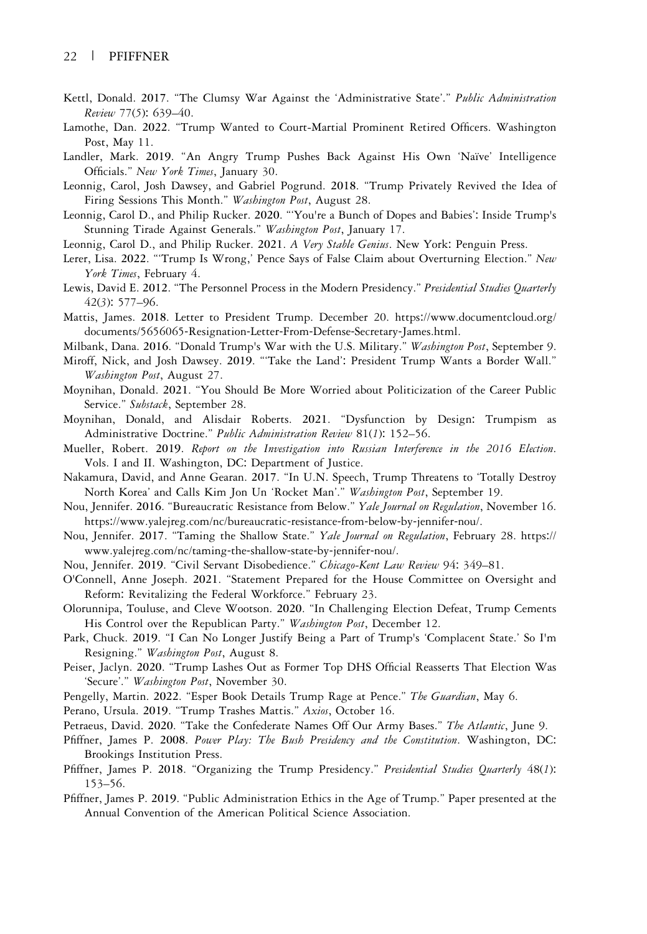- Kettl, Donald. 2017. "The Clumsy War Against the 'Administrative State'." Public Administration Review 77(5): 639–40.
- Lamothe, Dan. 2022. "Trump Wanted to Court-Martial Prominent Retired Officers. Washington Post, May 11.
- Landler, Mark. 2019. "An Angry Trump Pushes Back Against His Own 'Naïve' Intelligence Officials." New York Times, January 30.
- Leonnig, Carol, Josh Dawsey, and Gabriel Pogrund. 2018. "Trump Privately Revived the Idea of Firing Sessions This Month." Washington Post, August 28.
- Leonnig, Carol D., and Philip Rucker. 2020. "'You're a Bunch of Dopes and Babies': Inside Trump's Stunning Tirade Against Generals." Washington Post, January 17.
- Leonnig, Carol D., and Philip Rucker. 2021. A Very Stable Genius. New York: Penguin Press.
- Lerer, Lisa. 2022. "Trump Is Wrong,' Pence Says of False Claim about Overturning Election." New York Times, February 4.
- Lewis, David E. 2012. "The Personnel Process in the Modern Presidency." Presidential Studies Quarterly 42(3): 577–96.
- Mattis, James. 2018. Letter to President Trump. December 20. https:[//www.documentcloud.org/](https://www.documentcloud.org/documents/5656065-Resignation-Letter-From-Defense-Secretary-James.html) [documents/5656065](https://www.documentcloud.org/documents/5656065-Resignation-Letter-From-Defense-Secretary-James.html)-Resignation-Letter-From-Defense-Secretary-James.html.
- Milbank, Dana. 2016. "Donald Trump's War with the U.S. Military." Washington Post, September 9.
- Miroff, Nick, and Josh Dawsey. 2019. "'Take the Land': President Trump Wants a Border Wall." Washington Post, August 27.
- Moynihan, Donald. 2021. "You Should Be More Worried about Politicization of the Career Public Service." Substack, September 28.
- Moynihan, Donald, and Alisdair Roberts. 2021. "Dysfunction by Design: Trumpism as Administrative Doctrine." Public Administration Review 81(1): 152–56.
- Mueller, Robert. 2019. Report on the Investigation into Russian Interference in the 2016 Election. Vols. I and II. Washington, DC: Department of Justice.
- Nakamura, David, and Anne Gearan. 2017. "In U.N. Speech, Trump Threatens to 'Totally Destroy North Korea' and Calls Kim Jon Un 'Rocket Man'." Washington Post, September 19.
- Nou, Jennifer. 2016. "Bureaucratic Resistance from Below." Yale Journal on Regulation, November 16. https:[//www.yalejreg.com/nc/bureaucratic](https://www.yalejreg.com/nc/bureaucratic-resistance-from-below-by-jennifer-nou/)-resistance-from-below-by-jennifer-nou/.
- Nou, Jennifer. 2017. "Taming the Shallow State." Yale Journal on Regulation, February 28. [https](https://www.yalejreg.com/nc/taming-the-shallow-state-by-jennifer-nou/):// [www.yalejreg.com/nc/taming](https://www.yalejreg.com/nc/taming-the-shallow-state-by-jennifer-nou/)-the-shallow-state-by-jennifer-nou/.
- Nou, Jennifer. 2019. "Civil Servant Disobedience." Chicago-Kent Law Review 94: 349–81.
- O'Connell, Anne Joseph. 2021. "Statement Prepared for the House Committee on Oversight and Reform: Revitalizing the Federal Workforce." February 23.
- Olorunnipa, Touluse, and Cleve Wootson. 2020. "In Challenging Election Defeat, Trump Cements His Control over the Republican Party." Washington Post, December 12.
- Park, Chuck. 2019. "I Can No Longer Justify Being a Part of Trump's 'Complacent State.' So I'm Resigning." Washington Post, August 8.
- Peiser, Jaclyn. 2020. "Trump Lashes Out as Former Top DHS Official Reasserts That Election Was 'Secure'." Washington Post, November 30.
- Pengelly, Martin. 2022. "Esper Book Details Trump Rage at Pence." The Guardian, May 6.
- Perano, Ursula. 2019. "Trump Trashes Mattis." Axios, October 16.
- Petraeus, David. 2020. "Take the Confederate Names Off Our Army Bases." The Atlantic, June 9.
- Pfiffner, James P. 2008. Power Play: The Bush Presidency and the Constitution. Washington, DC: Brookings Institution Press.
- Pfiffner, James P. 2018. "Organizing the Trump Presidency." Presidential Studies Quarterly 48(1): 153–56.
- Pfiffner, James P. 2019. "Public Administration Ethics in the Age of Trump." Paper presented at the Annual Convention of the American Political Science Association.